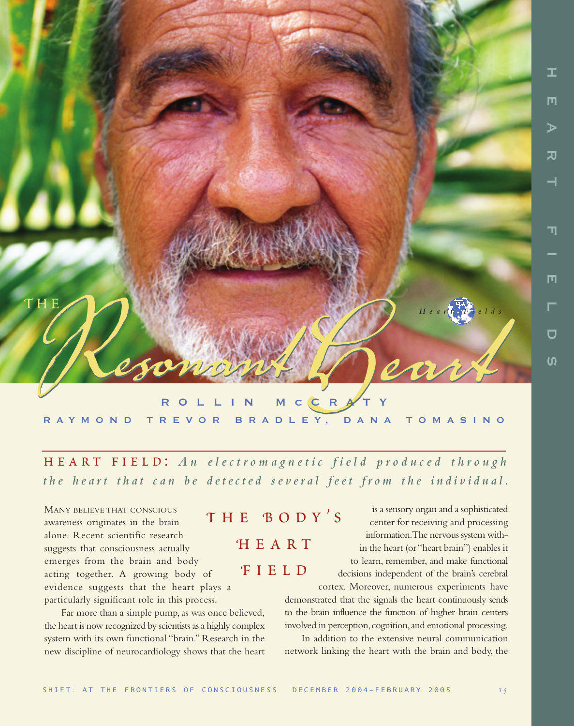

heart field: *An electroma gnetic field produced through the heart that can be detected several feet from the individual.* 

MANY BELIEVE THAT CONSCIOUS awareness originates in the brain alone. Recent scientific research suggests that consciousness actually emerges from the brain and body acting together. A growing body of evidence suggests that the heart plays a particularly significant role in this process.

Far more than a simple pump, as was once believed, the heart is now recognized by scientists as a highly complex system with its own functional "brain." Research in the new discipline of neurocardiology shows that the heart

THE BODY'S HEART

FIELD

is a sensory organ and a sophisticated center for receiving and processing information.The nervous system within the heart (or "heart brain") enables it to learn, remember, and make functional decisions independent of the brain's cerebral

cortex. Moreover, numerous experiments have demonstrated that the signals the heart continuously sends to the brain influence the function of higher brain centers involved in perception, cognition, and emotional processing.

In addition to the extensive neural communication network linking the heart with the brain and body, the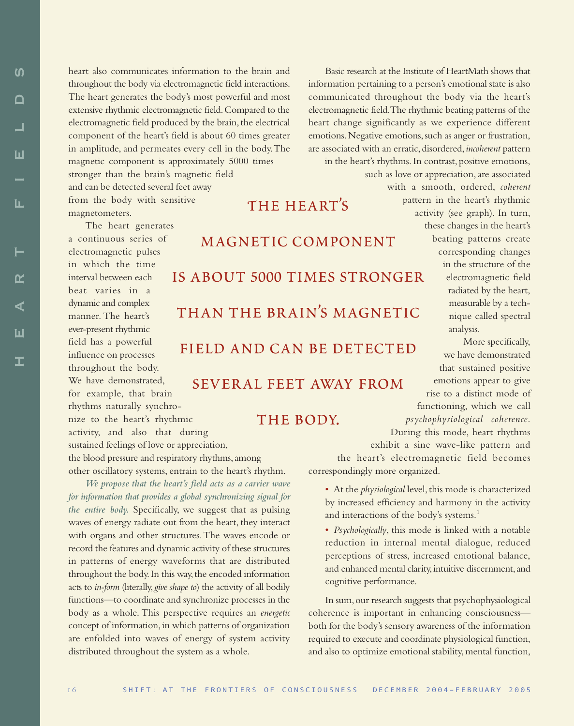heart also communicates information to the brain and throughout the body via electromagnetic field interactions. The heart generates the body's most powerful and most extensive rhythmic electromagnetic field.Compared to the electromagnetic field produced by the brain, the electrical component of the heart's field is about 60 times greater in amplitude, and permeates every cell in the body.The magnetic component is approximately 5000 times stronger than the brain's magnetic field and can be detected several feet away from the body with sensitive magnetometers. THE HEART'S

The heart generates a continuous series of electromagnetic pulses in which the time interval between each beat varies in a dynamic and complex manner. The heart's ever-present rhythmic field has a powerful influence on processes throughout the body.

**HEART FIELDS**

r

ĪП

 $\mathbf T$ 

L

 $\boldsymbol{\omega}$ 

∩

 $\mathbf{u}$ 

We have demonstrated, for example, that brain rhythms naturally synchronize to the heart's rhythmic

activity, and also that during sustained feelings of love or appreciation,

the blood pressure and respiratory rhythms, among other oscillatory systems, entrain to the heart's rhythm.

*We propose that the heart's field acts as a carrier wave for information that provides a global synchronizing signal for the entire body.* Specifically, we suggest that as pulsing waves of energy radiate out from the heart, they interact with organs and other structures.The waves encode or record the features and dynamic activity of these structures in patterns of energy waveforms that are distributed throughout the body.In this way,the encoded information acts to *in-form* (literally,*give shape to*) the activity of all bodily functions—to coordinate and synchronize processes in the body as a whole. This perspective requires an *energetic* concept of information, in which patterns of organization are enfolded into waves of energy of system activity distributed throughout the system as a whole.

Basic research at the Institute of HeartMath shows that information pertaining to a person's emotional state is also communicated throughout the body via the heart's electromagnetic field.The rhythmic beating patterns of the heart change significantly as we experience different emotions. Negative emotions, such as anger or frustration, are associated with an erratic, disordered, *incoherent* pattern

in the heart's rhythms. In contrast, positive emotions, such as love or appreciation, are associated

with a smooth, ordered, *coherent* pattern in the heart's rhythmic activity (see graph). In turn, these changes in the heart's beating patterns create corresponding changes in the structure of the electromagnetic field radiated by the heart, measurable by a technique called spectral analysis. is about 5000 timeS stronger than the brain's magnetic

> More specifically, we have demonstrated that sustained positive emotions appear to give rise to a distinct mode of functioning, which we call *psychophysiological coherence*.

During this mode, heart rhythms

exhibit a sine wave-like pattern and the heart's electromagnetic field becomes correspondingly more organized.

• At the *physiological* level, this mode is characterized by increased efficiency and harmony in the activity and interactions of the body's systems.<sup>1</sup>

• *Psychologically*, this mode is linked with a notable reduction in internal mental dialogue, reduced perceptions of stress, increased emotional balance, and enhanced mental clarity, intuitive discernment, and cognitive performance.

In sum,our research suggests that psychophysiological coherence is important in enhancing consciousness both for the body's sensory awareness of the information required to execute and coordinate physiological function, and also to optimize emotional stability, mental function,

magnetic component

field and can be detected

several feet away from

THE BODY.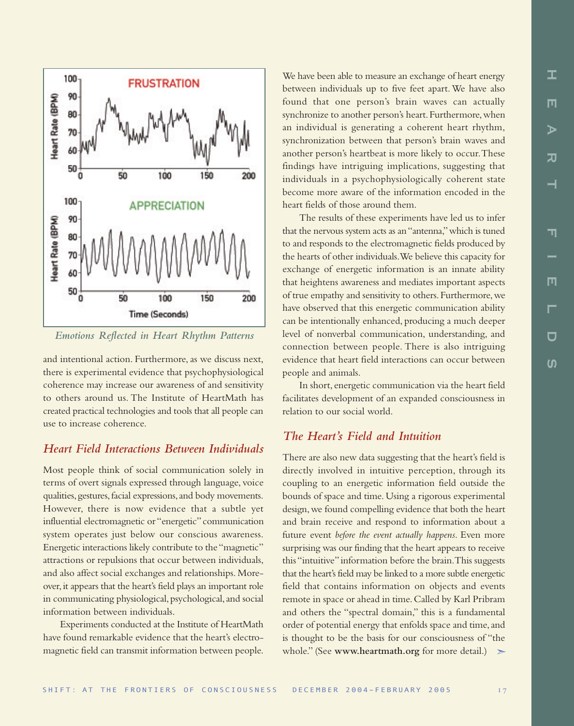

*Emotions Reflected in Heart Rhythm Patterns*

and intentional action. Furthermore, as we discuss next, there is experimental evidence that psychophysiological coherence may increase our awareness of and sensitivity to others around us. The Institute of HeartMath has created practical technologies and tools that all people can use to increase coherence.

### *Heart Field Interactions Between Individuals*

Most people think of social communication solely in terms of overt signals expressed through language, voice qualities, gestures, facial expressions, and body movements. However, there is now evidence that a subtle yet influential electromagnetic or "energetic" communication system operates just below our conscious awareness. Energetic interactions likely contribute to the "magnetic" attractions or repulsions that occur between individuals, and also affect social exchanges and relationships.Moreover, it appears that the heart's field plays an important role in communicating physiological, psychological, and social information between individuals.

Experiments conducted at the Institute of HeartMath have found remarkable evidence that the heart's electromagnetic field can transmit information between people.

We have been able to measure an exchange of heart energy between individuals up to five feet apart. We have also found that one person's brain waves can actually synchronize to another person's heart. Furthermore, when an individual is generating a coherent heart rhythm, synchronization between that person's brain waves and another person's heartbeat is more likely to occur.These findings have intriguing implications, suggesting that individuals in a psychophysiologically coherent state become more aware of the information encoded in the heart fields of those around them.

The results of these experiments have led us to infer that the nervous system acts as an "antenna,"which is tuned to and responds to the electromagnetic fields produced by the hearts of other individuals.We believe this capacity for exchange of energetic information is an innate ability that heightens awareness and mediates important aspects of true empathy and sensitivity to others. Furthermore, we have observed that this energetic communication ability can be intentionally enhanced, producing a much deeper level of nonverbal communication, understanding, and connection between people. There is also intriguing evidence that heart field interactions can occur between people and animals.

In short, energetic communication via the heart field facilitates development of an expanded consciousness in relation to our social world.

## *The Heart's Field and Intuition*

There are also new data suggesting that the heart's field is directly involved in intuitive perception, through its coupling to an energetic information field outside the bounds of space and time. Using a rigorous experimental design, we found compelling evidence that both the heart and brain receive and respond to information about a future event *before the event actually happens*. Even more surprising was our finding that the heart appears to receive this "intuitive"information before the brain.This suggests that the heart's field may be linked to a more subtle energetic field that contains information on objects and events remote in space or ahead in time.Called by Karl Pribram and others the "spectral domain," this is a fundamental order of potential energy that enfolds space and time, and is thought to be the basis for our consciousness of "the whole." (See **www.heartmath.org** for more detail.) ➣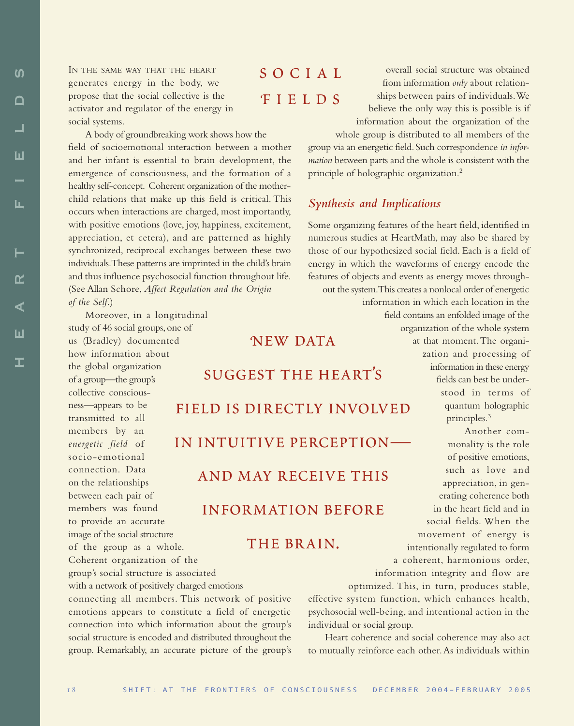$\boldsymbol{\mathsf{U}}$ **HEART FIELDS** ∩  $\mathbf{L}$ M Ш

 $\blacksquare$ 

IN THE SAME WAY THAT THE HEART generates energy in the body, we propose that the social collective is the activator and regulator of the energy in social systems.

SOCIAL Fields

NEW DATA

suggest the heart's

and may receive this

information before

the brain.

overall social structure was obtained from information *only* about relationships between pairs of individuals.We believe the only way this is possible is if information about the organization of the

A body of groundbreaking work shows how the field of socioemotional interaction between a mother and her infant is essential to brain development, the emergence of consciousness, and the formation of a healthy self-concept. Coherent organization of the motherchild relations that make up this field is critical. This occurs when interactions are charged, most importantly, with positive emotions (love, joy, happiness, excitement, appreciation, et cetera), and are patterned as highly synchronized, reciprocal exchanges between these two individuals.These patterns are imprinted in the child's brain and thus influence psychosocial function throughout life. (See Allan Schore, *Affect Regulation and the Origin of the Self*.)

Moreover, in a longitudinal study of 46 social groups,one of us (Bradley) documented how information about the global organization of a group—the group's collective consciousness—appears to be transmitted to all members by an *energetic field* of socio-emotional connection. Data on the relationships between each pair of members was found to provide an accurate image of the social structure of the group as a whole. Coherent organization of the field is directly involved in intuitive perception—

group's social structure is associated

with a network of positively charged emotions

connecting all members. This network of positive emotions appears to constitute a field of energetic connection into which information about the group's social structure is encoded and distributed throughout the group. Remarkably, an accurate picture of the group's

whole group is distributed to all members of the group via an energetic field.Such correspondence *in information* between parts and the whole is consistent with the principle of holographic organization.2

## *Synthesis and Implications*

Some organizing features of the heart field, identified in numerous studies at HeartMath, may also be shared by those of our hypothesized social field. Each is a field of energy in which the waveforms of energy encode the features of objects and events as energy moves throughout the system.This creates a nonlocal order of energetic

information in which each location in the field contains an enfolded image of the organization of the whole system at that moment. The organization and processing of information in these energy fields can best be understood in terms of quantum holographic principles.3

> Another commonality is the role of positive emotions, such as love and appreciation, in generating coherence both in the heart field and in social fields. When the movement of energy is intentionally regulated to form a coherent, harmonious order,

information integrity and flow are optimized. This, in turn, produces stable,

effective system function, which enhances health, psychosocial well-being, and intentional action in the individual or social group.

Heart coherence and social coherence may also act to mutually reinforce each other.As individuals within